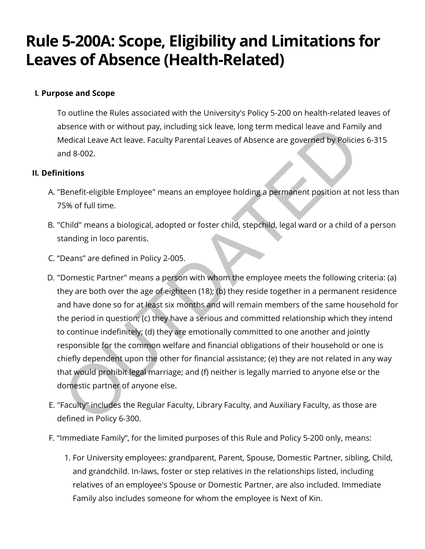# Rule 5-200A: Scope, Eligibility and Limitations for Leaves of Absence (Health-Related)

# I. Purpose and Scope

To outline the Rules associated with the University's Policy 5-200 on health-related leaves of absence with or without pay, including sick leave, long term medical leave and Family and Medical Leave Act leave. Faculty Parental Leaves of Absence are governed by Policies 6-315 and 8-002.

# **II. Definitions**

- A. "Benefit-eligible Employee" means an employee holding a permanent position at not less than 75% of full time.
- B. "Child" means a biological, adopted or foster child, stepchild, legal ward or a child of a person standing in loco parentis.
- C. "Deans" are defined in Policy 2-005.
- D. "Domestic Partner" means a person with whom the employee meets the following criteria: (a) they are both over the age of eighteen (18); (b) they reside together in a permanent residence and have done so for at least six months and will remain members of the same household for the period in question; (c) they have a serious and committed relationship which they intend to continue indefinitely; (d) they are emotionally committed to one another and jointly responsible for the common welfare and financial obligations of their household or one is chiefly dependent upon the other for financial assistance; (e) they are not related in any way that would prohibit legal marriage; and (f) neither is legally married to anyone else or the domestic partner of anyone else. bsence with or without pay, including sick leave, long term medical leave and Familiedical Leave Act leave. Faculty Parental Leaves of Absence are governed by Policie of about a change of the search of the search of the se
- E. "Faculty" includes the Regular Faculty, Library Faculty, and Auxiliary Faculty, as those are defined in Policy 6-300.
- F. "Immediate Family", for the limited purposes of this Rule and Policy 5-200 only, means:
	- 1. For University employees: grandparent, Parent, Spouse, Domestic Partner, sibling, Child, and grandchild. In-laws, foster or step relatives in the relationships listed, including relatives of an employee's Spouse or Domestic Partner, are also included. Immediate Family also includes someone for whom the employee is Next of Kin.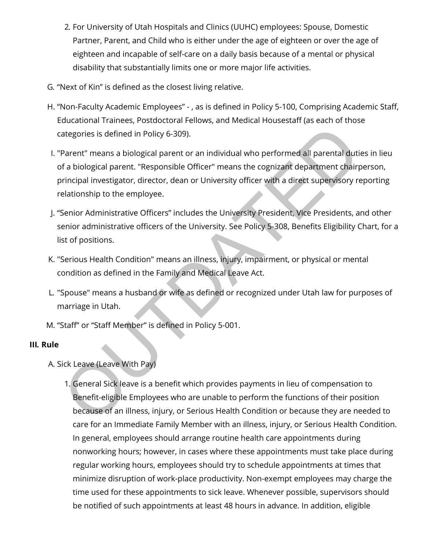- 2. For University of Utah Hospitals and Clinics (UUHC) employees: Spouse, Domestic Partner, Parent, and Child who is either under the age of eighteen or over the age of eighteen and incapable of self-care on a daily basis because of a mental or physical disability that substantially limits one or more major life activities.
- G. "Next of Kin" is defined as the closest living relative.
- H. "Non-Faculty Academic Employees" -, as is defined in Policy 5-100, Comprising Academic Staff, Educational Trainees, Postdoctoral Fellows, and Medical Housestaff (as each of those categories is defined in Policy 6-309).
- I. "Parent" means a biological parent or an individual who performed all parental duties in lieu of a biological parent. "Responsible Officer" means the cognizant department chairperson, principal investigator, director, dean or University officer with a direct supervisory reporting relationship to the employee. ategories is defined in Policy 6-309).<br>
Parent" means a biological parent or an individual who performed all parental dutif<br>
a biological parent. "Responsible Officer" means the cognizant department chair<br>
principal invest
- J. "Senior Administrative Officers" includes the University President, Vice Presidents, and other senior administrative officers of the University. See Policy 5-308, Benefits Eligibility Chart, for a list of positions.
- K. "Serious Health Condition" means an illness, injury, impairment, or physical or mental condition as defined in the Family and Medical Leave Act.
- L. "Spouse" means a husband or wife as defined or recognized under Utah law for purposes of marriage in Utah.
- M. "Staff" or "Staff Member" is defined in Policy 5-001.

## III. Rule

- A. Sick Leave (Leave With Pay)
	- 1. General Sick leave is a bene㿯t which provides payments in lieu of compensation to Benefit-eligible Employees who are unable to perform the functions of their position because of an illness, injury, or Serious Health Condition or because they are needed to care for an Immediate Family Member with an illness, injury, or Serious Health Condition. In general, employees should arrange routine health care appointments during nonworking hours; however, in cases where these appointments must take place during regular working hours, employees should try to schedule appointments at times that minimize disruption of work-place productivity. Non-exempt employees may charge the time used for these appointments to sick leave. Whenever possible, supervisors should be notified of such appointments at least 48 hours in advance. In addition, eligible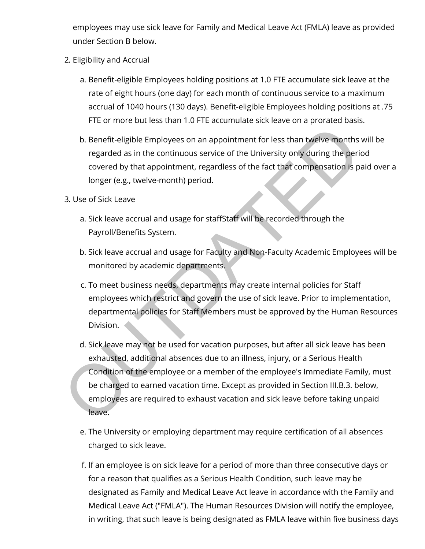employees may use sick leave for Family and Medical Leave Act (FMLA) leave as provided under Section B below.

- 2. Eligibility and Accrual
	- a. Benefit-eligible Employees holding positions at 1.0 FTE accumulate sick leave at the rate of eight hours (one day) for each month of continuous service to a maximum accrual of 1040 hours (130 days). Benefit-eligible Employees holding positions at .75 FTE or more but less than 1.0 FTE accumulate sick leave on a prorated basis.
	- b. Benefit-eligible Employees on an appointment for less than twelve months will be regarded as in the continuous service of the University only during the period covered by that appointment, regardless of the fact that compensation is paid over a longer (e.g., twelve-month) period.
- 3. Use of Sick Leave
	- a. Sick leave accrual and usage for staffStaff will be recorded through the Payroll/Benefits System.
	- b. Sick leave accrual and usage for Faculty and Non-Faculty Academic Employees will be monitored by academic departments.
	- c. To meet business needs, departments may create internal policies for Staff employees which restrict and govern the use of sick leave. Prior to implementation, departmental policies for Staff Members must be approved by the Human Resources Division.
- d. Sick leave may not be used for vacation purposes, but after all sick leave has been exhausted, additional absences due to an illness, injury, or a Serious Health Condition of the employee or a member of the employee's Immediate Family, must be charged to earned vacation time. Except as provided in Section III.B.3. below, employees are required to exhaust vacation and sick leave before taking unpaid leave. b. Benefit-eligible Employees on an appointment for less than twelve months<br>regarded as in the continuous service of the University only during the peri<br>covered by that appointment, regardless of the fact that compensation
	- e. The University or employing department may require certification of all absences charged to sick leave.
	- f. If an employee is on sick leave for a period of more than three consecutive days or for a reason that qualifies as a Serious Health Condition, such leave may be designated as Family and Medical Leave Act leave in accordance with the Family and Medical Leave Act ("FMLA"). The Human Resources Division will notify the employee, in writing, that such leave is being designated as FMLA leave within five business days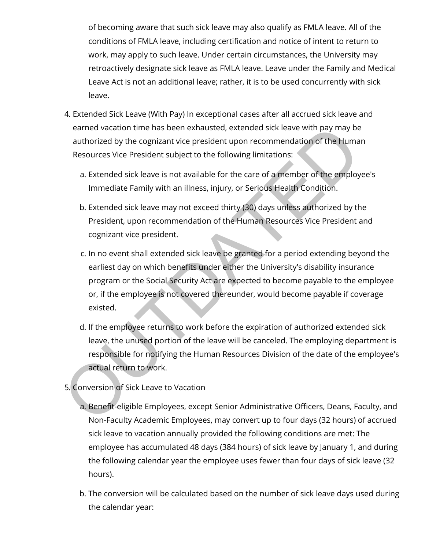of becoming aware that such sick leave may also qualify as FMLA leave. All of the conditions of FMLA leave, including certification and notice of intent to return to work, may apply to such leave. Under certain circumstances, the University may retroactively designate sick leave as FMLA leave. Leave under the Family and Medical Leave Act is not an additional leave; rather, it is to be used concurrently with sick leave.

- 4. Extended Sick Leave (With Pay) In exceptional cases after all accrued sick leave and earned vacation time has been exhausted, extended sick leave with pay may be authorized by the cognizant vice president upon recommendation of the Human Resources Vice President subject to the following limitations:
	- a. Extended sick leave is not available for the care of a member of the employee's Immediate Family with an illness, injury, or Serious Health Condition.
	- b. Extended sick leave may not exceed thirty (30) days unless authorized by the President, upon recommendation of the Human Resources Vice President and cognizant vice president.
- c. In no event shall extended sick leave be granted for a period extending beyond the earliest day on which benefits under either the University's disability insurance program or the Social Security Act are expected to become payable to the employee or, if the employee is not covered thereunder, would become payable if coverage existed. earned vacation time has been exhausted, extended sick leave with pay may be<br>authorized by the cognizant vice president upon recommendation of the Huma<br>Resources Vice President subject to the following limitations:<br>a. Exte
	- d. If the employee returns to work before the expiration of authorized extended sick leave, the unused portion of the leave will be canceled. The employing department is responsible for notifying the Human Resources Division of the date of the employee's actual return to work.
- 5. Conversion of Sick Leave to Vacation
	- a. Benefit-eligible Employees, except Senior Administrative Officers, Deans, Faculty, and Non-Faculty Academic Employees, may convert up to four days (32 hours) of accrued sick leave to vacation annually provided the following conditions are met: The employee has accumulated 48 days (384 hours) of sick leave by January 1, and during the following calendar year the employee uses fewer than four days of sick leave (32 hours).
	- b. The conversion will be calculated based on the number of sick leave days used during the calendar year: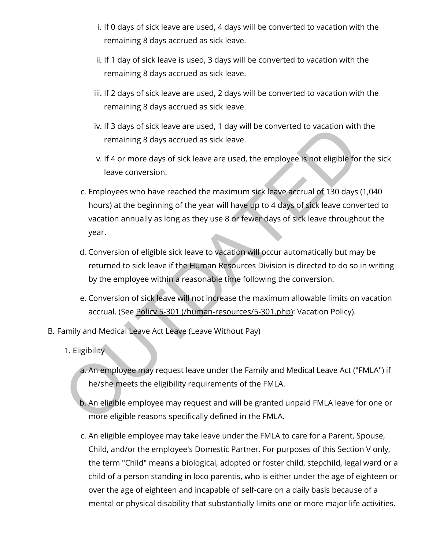- i. If 0 days of sick leave are used, 4 days will be converted to vacation with the remaining 8 days accrued as sick leave.
- ii. If 1 day of sick leave is used, 3 days will be converted to vacation with the remaining 8 days accrued as sick leave.
- iii. If 2 days of sick leave are used, 2 days will be converted to vacation with the remaining 8 days accrued as sick leave.
- iv. If 3 days of sick leave are used, 1 day will be converted to vacation with the remaining 8 days accrued as sick leave.
- v. If 4 or more days of sick leave are used, the employee is not eligible for the sick leave conversion.
- c. Employees who have reached the maximum sick leave accrual of 130 days (1,040 hours) at the beginning of the year will have up to 4 days of sick leave converted to vacation annually as long as they use 8 or fewer days of sick leave throughout the year. In the days of sick leave are used, 1 day will be converted to vacation with<br>remaining 8 days accrued as sick leave.<br>v. If 4 or more days of sick leave are used, the employee is not eligible for<br>leave conversion.<br>c. Employ
	- d. Conversion of eligible sick leave to vacation will occur automatically but may be returned to sick leave if the Human Resources Division is directed to do so in writing by the employee within a reasonable time following the conversion.
	- e. Conversion of sick leave will not increase the maximum allowable limits on vacation accrual. (See Policy 5-301 (/human-resources/5-301.php): Vacation Policy).
- B. Family and Medical Leave Act Leave (Leave Without Pay)
	- 1. Eligibility
		- a. An employee may request leave under the Family and Medical Leave Act ("FMLA") if he/she meets the eligibility requirements of the FMLA.
		- b. An eligible employee may request and will be granted unpaid FMLA leave for one or more eligible reasons specifically defined in the FMLA.
		- c. An eligible employee may take leave under the FMLA to care for a Parent, Spouse, Child, and/or the employee's Domestic Partner. For purposes of this Section V only, the term "Child" means a biological, adopted or foster child, stepchild, legal ward or a child of a person standing in loco parentis, who is either under the age of eighteen or over the age of eighteen and incapable of self-care on a daily basis because of a mental or physical disability that substantially limits one or more major life activities.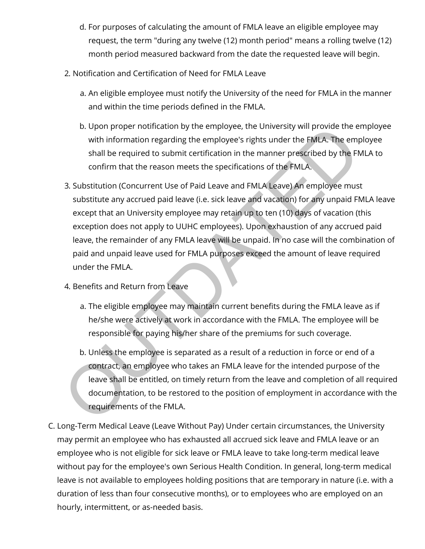- d. For purposes of calculating the amount of FMLA leave an eligible employee may request, the term "during any twelve (12) month period" means a rolling twelve (12) month period measured backward from the date the requested leave will begin.
- 2. Notification and Certification of Need for FMLA Leave
	- a. An eligible employee must notify the University of the need for FMLA in the manner and within the time periods defined in the FMLA.
	- b. Upon proper notification by the employee, the University will provide the employee with information regarding the employee's rights under the FMLA. The employee shall be required to submit certification in the manner prescribed by the FMLA to confirm that the reason meets the specifications of the FMLA.
- 3. Substitution (Concurrent Use of Paid Leave and FMLA Leave) An employee must substitute any accrued paid leave (i.e. sick leave and vacation) for any unpaid FMLA leave except that an University employee may retain up to ten (10) days of vacation (this exception does not apply to UUHC employees). Upon exhaustion of any accrued paid leave, the remainder of any FMLA leave will be unpaid. In no case will the combination of paid and unpaid leave used for FMLA purposes exceed the amount of leave required under the FMLA. b. Upon proper notincation by the employee, the University will provide the eil with information regarding the employee's rights under the FMLA. The employe is right in the manner prescribed by the FM<br>shall be required to
- 4. Benefits and Return from Leave
	- a. The eligible employee may maintain current benefits during the FMLA leave as if he/she were actively at work in accordance with the FMLA. The employee will be responsible for paying his/her share of the premiums for such coverage.
	- b. Unless the employee is separated as a result of a reduction in force or end of a contract, an employee who takes an FMLA leave for the intended purpose of the leave shall be entitled, on timely return from the leave and completion of all required documentation, to be restored to the position of employment in accordance with the requirements of the FMLA.
- C. Long-Term Medical Leave (Leave Without Pay) Under certain circumstances, the University may permit an employee who has exhausted all accrued sick leave and FMLA leave or an employee who is not eligible for sick leave or FMLA leave to take long-term medical leave without pay for the employee's own Serious Health Condition. In general, long-term medical leave is not available to employees holding positions that are temporary in nature (i.e. with a duration of less than four consecutive months), or to employees who are employed on an hourly, intermittent, or as-needed basis.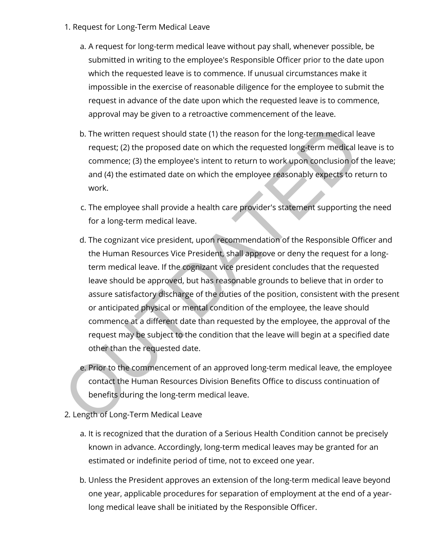- 1. Request for Long-Term Medical Leave
	- a. A request for long-term medical leave without pay shall, whenever possible, be submitted in writing to the employee's Responsible Officer prior to the date upon which the requested leave is to commence. If unusual circumstances make it impossible in the exercise of reasonable diligence for the employee to submit the request in advance of the date upon which the requested leave is to commence, approval may be given to a retroactive commencement of the leave.
	- b. The written request should state (1) the reason for the long-term medical leave request; (2) the proposed date on which the requested long-term medical leave is to commence; (3) the employee's intent to return to work upon conclusion of the leave; and (4) the estimated date on which the employee reasonably expects to return to work.
	- c. The employee shall provide a health care provider's statement supporting the need for a long-term medical leave.
- d. The cognizant vice president, upon recommendation of the Responsible Officer and the Human Resources Vice President, shall approve or deny the request for a longterm medical leave. If the cognizant vice president concludes that the requested leave should be approved, but has reasonable grounds to believe that in order to assure satisfactory discharge of the duties of the position, consistent with the present or anticipated physical or mental condition of the employee, the leave should commence at a different date than requested by the employee, the approval of the request may be subject to the condition that the leave will begin at a specified date other than the requested date. b. The written request should state (1) the reason for the long-term medical le request; (2) the proposed date on which the requested long-term medical le commence; (3) the employee's intent to return to work upon conclusi
	- e. Prior to the commencement of an approved long-term medical leave, the employee contact the Human Resources Division Benefits Office to discuss continuation of benefits during the long-term medical leave.
- 2. Length of Long-Term Medical Leave
	- a. It is recognized that the duration of a Serious Health Condition cannot be precisely known in advance. Accordingly, long-term medical leaves may be granted for an estimated or indefinite period of time, not to exceed one year.
	- b. Unless the President approves an extension of the long-term medical leave beyond one year, applicable procedures for separation of employment at the end of a yearlong medical leave shall be initiated by the Responsible Officer.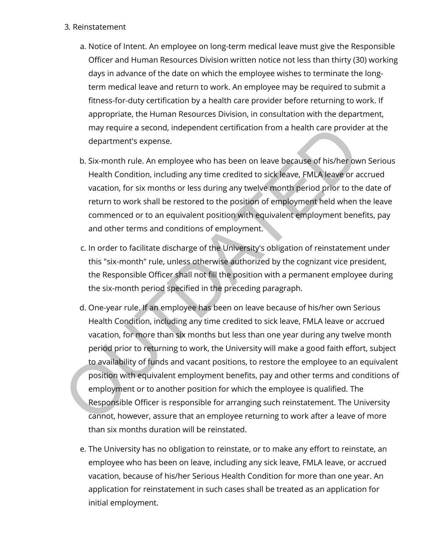#### 3. Reinstatement

- a. Notice of Intent. An employee on long-term medical leave must give the Responsible Officer and Human Resources Division written notice not less than thirty (30) working days in advance of the date on which the employee wishes to terminate the longterm medical leave and return to work. An employee may be required to submit a fitness-for-duty certification by a health care provider before returning to work. If appropriate, the Human Resources Division, in consultation with the department, may require a second, independent certification from a health care provider at the department's expense.
- b. Six-month rule. An employee who has been on leave because of his/her own Serious Health Condition, including any time credited to sick leave, FMLA leave or accrued vacation, for six months or less during any twelve month period prior to the date of return to work shall be restored to the position of employment held when the leave commenced or to an equivalent position with equivalent employment benefits, pay and other terms and conditions of employment.
- c. In order to facilitate discharge of the University's obligation of reinstatement under this "six-month" rule, unless otherwise authorized by the cognizant vice president, the Responsible Officer shall not fill the position with a permanent employee during the six-month period specified in the preceding paragraph.
- d. One-year rule. If an employee has been on leave because of his/her own Serious Health Condition, including any time credited to sick leave, FMLA leave or accrued vacation, for more than six months but less than one year during any twelve month period prior to returning to work, the University will make a good faith effort, subject to availability of funds and vacant positions, to restore the employee to an equivalent position with equivalent employment benefits, pay and other terms and conditions of employment or to another position for which the employee is qualified. The Responsible Officer is responsible for arranging such reinstatement. The University cannot, however, assure that an employee returning to work after a leave of more than six months duration will be reinstated. may require a second, independent certification from a health care provide<br>department's expense.<br>b. Six-month rule. An employee who has been on leave because of his/her ow<br>Health Condition, including any time credited to s
	- e. The University has no obligation to reinstate, or to make any effort to reinstate, an employee who has been on leave, including any sick leave, FMLA leave, or accrued vacation, because of his/her Serious Health Condition for more than one year. An application for reinstatement in such cases shall be treated as an application for initial employment.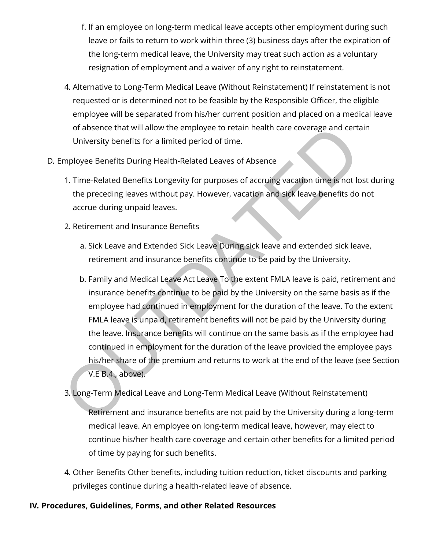- f. If an employee on long-term medical leave accepts other employment during such leave or fails to return to work within three (3) business days after the expiration of the long-term medical leave, the University may treat such action as a voluntary resignation of employment and a waiver of any right to reinstatement.
- 4. Alternative to Long-Term Medical Leave (Without Reinstatement) If reinstatement is not requested or is determined not to be feasible by the Responsible Officer, the eligible employee will be separated from his/her current position and placed on a medical leave of absence that will allow the employee to retain health care coverage and certain University benefits for a limited period of time.
- D. Employee Benefits During Health-Related Leaves of Absence
	- 1. Time-Related Benefits Longevity for purposes of accruing vacation time is not lost during the preceding leaves without pay. However, vacation and sick leave benefits do not accrue during unpaid leaves.
	- 2. Retirement and Insurance Benefits
		- a. Sick Leave and Extended Sick Leave During sick leave and extended sick leave, retirement and insurance benefits continue to be paid by the University.
- b. Family and Medical Leave Act Leave To the extent FMLA leave is paid, retirement and insurance benefits continue to be paid by the University on the same basis as if the employee had continued in employment for the duration of the leave. To the extent FMLA leave is unpaid, retirement benefits will not be paid by the University during the leave. Insurance benefits will continue on the same basis as if the employee had continued in employment for the duration of the leave provided the employee pays his/her share of the premium and returns to work at the end of the leave (see Section V.E B.4., above). of absence that will allow the employee to retain health care coverage and certric University benefits for a limited period of time.<br>
In Time-Related Benefits During Health-Related Leaves of Absence<br>
1. Time-Related Benefi
	- 3. Long-Term Medical Leave and Long-Term Medical Leave (Without Reinstatement)

Retirement and insurance benefits are not paid by the University during a long-term medical leave. An employee on long-term medical leave, however, may elect to continue his/her health care coverage and certain other benefits for a limited period of time by paying for such benefits.

4. Other Benefits Other benefits, including tuition reduction, ticket discounts and parking privileges continue during a health-related leave of absence.

## IV. Procedures, Guidelines, Forms, and other Related Resources